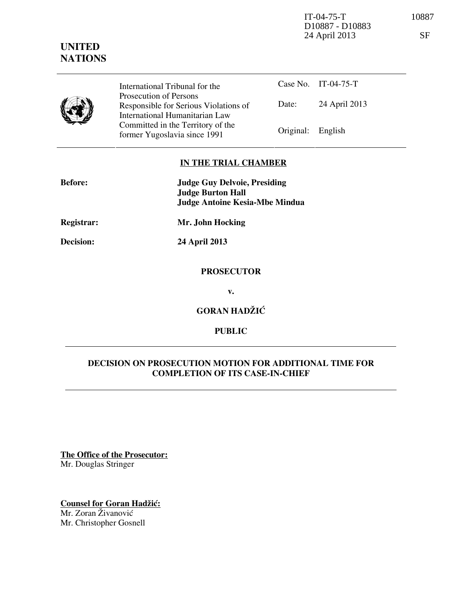IT-04-75-T 10887 D10887 - D10883 24 April 2013 SF

**UNITED NATIONS**



International Tribunal for the Prosecution of Persons Responsible for Serious Violations of International Humanitarian Law Committed in the Territory of the Former Yugoslavia since 1991 Original: English

Case No. IT-04-75-T Date: 24 April 2013

# **IN THE TRIAL CHAMBER**

| <b>Before:</b>    | <b>Judge Guy Delvoie, Presiding</b><br><b>Judge Burton Hall</b> |
|-------------------|-----------------------------------------------------------------|
|                   | <b>Judge Antoine Kesia-Mbe Mindua</b>                           |
| <b>Registrar:</b> | Mr. John Hocking                                                |

**Decision: 24 April 2013** 

## **PROSECUTOR**

**v.** 

**GORAN HADŽIĆ** 

# **PUBLIC**

# **DECISION ON PROSECUTION MOTION FOR ADDITIONAL TIME FOR COMPLETION OF ITS CASE-IN-CHIEF**

**The Office of the Prosecutor:** Mr. Douglas Stringer

**Counsel for Goran Hadžić:** Mr. Zoran Živanović Mr. Christopher Gosnell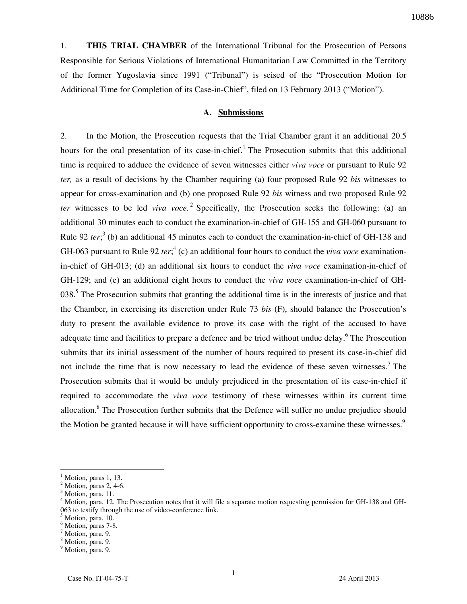1. **THIS TRIAL CHAMBER** of the International Tribunal for the Prosecution of Persons Responsible for Serious Violations of International Humanitarian Law Committed in the Territory of the former Yugoslavia since 1991 ("Tribunal") is seised of the "Prosecution Motion for Additional Time for Completion of its Case-in-Chief", filed on 13 February 2013 ("Motion").

#### **A. Submissions**

2. In the Motion, the Prosecution requests that the Trial Chamber grant it an additional 20.5 hours for the oral presentation of its case-in-chief.<sup>1</sup> The Prosecution submits that this additional time is required to adduce the evidence of seven witnesses either *viva voce* or pursuant to Rule 92 *ter,* as a result of decisions by the Chamber requiring (a) four proposed Rule 92 *bis* witnesses to appear for cross-examination and (b) one proposed Rule 92 *bis* witness and two proposed Rule 92 *ter* witnesses to be led *viva voce.* <sup>2</sup> Specifically, the Prosecution seeks the following: (a) an additional 30 minutes each to conduct the examination-in-chief of GH-155 and GH-060 pursuant to Rule 92 *ter*;<sup>3</sup> (b) an additional 45 minutes each to conduct the examination-in-chief of GH-138 and GH-063 pursuant to Rule 92 *ter*;<sup>4</sup> (c) an additional four hours to conduct the *viva voce* examinationin-chief of GH-013; (d) an additional six hours to conduct the *viva voce* examination-in-chief of GH-129; and (e) an additional eight hours to conduct the *viva voce* examination-in-chief of GH-038.<sup>5</sup> The Prosecution submits that granting the additional time is in the interests of justice and that the Chamber, in exercising its discretion under Rule 73 *bis* (F), should balance the Prosecution's duty to present the available evidence to prove its case with the right of the accused to have adequate time and facilities to prepare a defence and be tried without undue delay.<sup>6</sup> The Prosecution submits that its initial assessment of the number of hours required to present its case-in-chief did not include the time that is now necessary to lead the evidence of these seven witnesses.<sup>7</sup> The Prosecution submits that it would be unduly prejudiced in the presentation of its case-in-chief if required to accommodate the *viva voce* testimony of these witnesses within its current time allocation.<sup>8</sup> The Prosecution further submits that the Defence will suffer no undue prejudice should the Motion be granted because it will have sufficient opportunity to cross-examine these witnesses.<sup>9</sup>

<sup>1</sup> Motion, paras 1, 13.

 $<sup>2</sup>$  Motion, paras 2, 4-6.</sup>

 $^3$  Motion, para. 11.

Motion, para. 12. The Prosecution notes that it will file a separate motion requesting permission for GH-138 and GH-063 to testify through the use of video-conference link. 5

Motion, para. 10.

<sup>6</sup> Motion, paras 7-8.

<sup>&</sup>lt;sup>7</sup> Motion, para. 9.

<sup>8</sup> Motion, para. 9.

<sup>&</sup>lt;sup>9</sup> Motion, para. 9.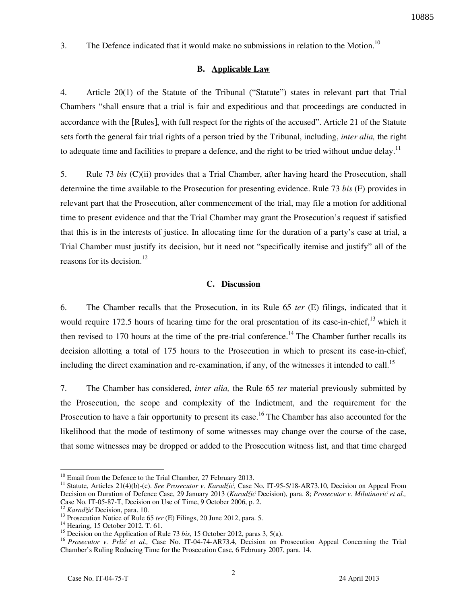3. The Defence indicated that it would make no submissions in relation to the Motion.<sup>10</sup>

### **B. Applicable Law**

4. Article 20(1) of the Statute of the Tribunal ("Statute") states in relevant part that Trial Chambers "shall ensure that a trial is fair and expeditious and that proceedings are conducted in accordance with the [Rules], with full respect for the rights of the accused". Article 21 of the Statute sets forth the general fair trial rights of a person tried by the Tribunal, including, *inter alia,* the right to adequate time and facilities to prepare a defence, and the right to be tried without undue delay.<sup>11</sup>

5. Rule 73 *bis* (C)(ii) provides that a Trial Chamber, after having heard the Prosecution, shall determine the time available to the Prosecution for presenting evidence. Rule 73 *bis* (F) provides in relevant part that the Prosecution, after commencement of the trial, may file a motion for additional time to present evidence and that the Trial Chamber may grant the Prosecution's request if satisfied that this is in the interests of justice. In allocating time for the duration of a party's case at trial, a Trial Chamber must justify its decision, but it need not "specifically itemise and justify" all of the reasons for its decision. $^{12}$ 

## **C. Discussion**

6. The Chamber recalls that the Prosecution, in its Rule 65 *ter* (E) filings, indicated that it would require 172.5 hours of hearing time for the oral presentation of its case-in-chief,<sup>13</sup> which it then revised to 170 hours at the time of the pre-trial conference.<sup>14</sup> The Chamber further recalls its decision allotting a total of 175 hours to the Prosecution in which to present its case-in-chief, including the direct examination and re-examination, if any, of the witnesses it intended to call.<sup>15</sup>

7. The Chamber has considered, *inter alia,* the Rule 65 *ter* material previously submitted by the Prosecution, the scope and complexity of the Indictment, and the requirement for the Prosecution to have a fair opportunity to present its case.<sup>16</sup> The Chamber has also accounted for the likelihood that the mode of testimony of some witnesses may change over the course of the case, that some witnesses may be dropped or added to the Prosecution witness list, and that time charged

 $10$  Email from the Defence to the Trial Chamber, 27 February 2013.

<sup>11</sup> Statute, Articles 21(4)(b)-(c). *See Prosecutor v. Karadžić,* Case No. IT-95-5/18-AR73.10, Decision on Appeal From Decision on Duration of Defence Case, 29 January 2013 (*Karadžić* Decision), para. 8; *Prosecutor v. Milutinović et al.,*  Case No. IT-05-87-T, Decision on Use of Time, 9 October 2006, p. 2.

<sup>12</sup> *Karadžić* Decision, para. 10.

<sup>&</sup>lt;sup>13</sup> Prosecution Notice of Rule 65 *ter* (E) Filings, 20 June 2012, para. 5.

<sup>14</sup> Hearing, 15 October 2012. T. 61.

<sup>&</sup>lt;sup>15</sup> Decision on the Application of Rule 73 *bis*, 15 October 2012, paras 3, 5(a).

<sup>&</sup>lt;sup>16</sup> Prosecutor v. Prlić et al., Case No. IT-04-74-AR73.4, Decision on Prosecution Appeal Concerning the Trial Chamber's Ruling Reducing Time for the Prosecution Case, 6 February 2007, para. 14.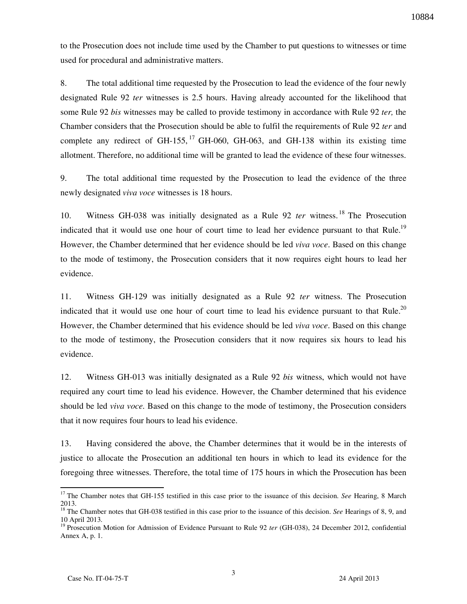to the Prosecution does not include time used by the Chamber to put questions to witnesses or time used for procedural and administrative matters.

8. The total additional time requested by the Prosecution to lead the evidence of the four newly designated Rule 92 *ter* witnesses is 2.5 hours. Having already accounted for the likelihood that some Rule 92 *bis* witnesses may be called to provide testimony in accordance with Rule 92 *ter,* the Chamber considers that the Prosecution should be able to fulfil the requirements of Rule 92 *ter* and complete any redirect of GH-155,  $^{17}$  GH-060, GH-063, and GH-138 within its existing time allotment. Therefore, no additional time will be granted to lead the evidence of these four witnesses.

9. The total additional time requested by the Prosecution to lead the evidence of the three newly designated *viva voce* witnesses is 18 hours.

10. Witness GH-038 was initially designated as a Rule 92 *ter* witness. <sup>18</sup> The Prosecution indicated that it would use one hour of court time to lead her evidence pursuant to that Rule.<sup>19</sup> However, the Chamber determined that her evidence should be led *viva voce*. Based on this change to the mode of testimony, the Prosecution considers that it now requires eight hours to lead her evidence.

11. Witness GH-129 was initially designated as a Rule 92 *ter* witness. The Prosecution indicated that it would use one hour of court time to lead his evidence pursuant to that Rule.<sup>20</sup> However, the Chamber determined that his evidence should be led *viva voce*. Based on this change to the mode of testimony, the Prosecution considers that it now requires six hours to lead his evidence.

12. Witness GH-013 was initially designated as a Rule 92 *bis* witness, which would not have required any court time to lead his evidence. However, the Chamber determined that his evidence should be led *viva voce.* Based on this change to the mode of testimony, the Prosecution considers that it now requires four hours to lead his evidence.

13. Having considered the above, the Chamber determines that it would be in the interests of justice to allocate the Prosecution an additional ten hours in which to lead its evidence for the foregoing three witnesses. Therefore, the total time of 175 hours in which the Prosecution has been

<sup>&</sup>lt;sup>17</sup> The Chamber notes that GH-155 testified in this case prior to the issuance of this decision. *See* Hearing, 8 March 2013.

<sup>&</sup>lt;sup>18</sup> The Chamber notes that GH-038 testified in this case prior to the issuance of this decision. *See* Hearings of 8, 9, and 10 April 2013.

<sup>&</sup>lt;sup>19</sup> Prosecution Motion for Admission of Evidence Pursuant to Rule 92 *ter* (GH-038), 24 December 2012, confidential Annex A, p. 1.